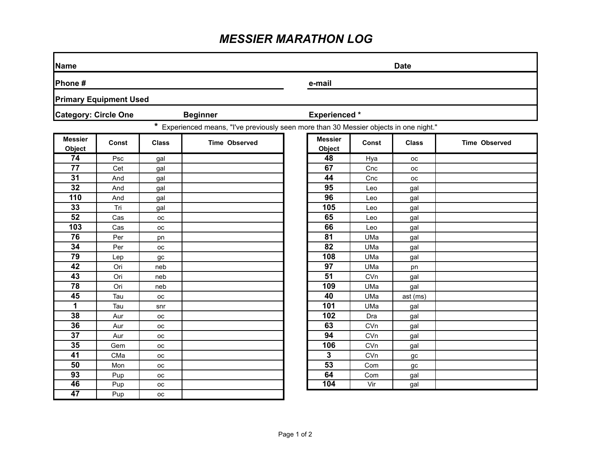## *MESSIER MARATHON LOG*

| <b>Name</b>                                    |                               |              |                                                                                        |                          | <b>Date</b> |              |                      |  |  |
|------------------------------------------------|-------------------------------|--------------|----------------------------------------------------------------------------------------|--------------------------|-------------|--------------|----------------------|--|--|
| Phone#                                         |                               |              |                                                                                        | e-mail                   |             |              |                      |  |  |
|                                                | <b>Primary Equipment Used</b> |              |                                                                                        |                          |             |              |                      |  |  |
| <b>Category: Circle One</b><br><b>Beginner</b> |                               |              |                                                                                        | <b>Experienced*</b>      |             |              |                      |  |  |
|                                                |                               |              | * Experienced means, "I've previously seen more than 30 Messier objects in one night." |                          |             |              |                      |  |  |
| <b>Messier</b><br>Object                       | Const                         | <b>Class</b> | <b>Time Observed</b>                                                                   | <b>Messier</b><br>Object | Const       | <b>Class</b> | <b>Time Observed</b> |  |  |
| 74                                             | Psc                           | gal          |                                                                                        | 48                       | Hya         | <b>OC</b>    |                      |  |  |
| $\overline{77}$                                | Cet                           | gal          |                                                                                        | 67                       | Cnc         | oс           |                      |  |  |
| $\overline{31}$                                | And                           | gal          |                                                                                        | 44                       | Cnc         | ОC           |                      |  |  |
| $\overline{32}$                                | And                           | gal          |                                                                                        | 95                       | Leo         | gal          |                      |  |  |
| 110                                            | And                           | gal          |                                                                                        | 96                       | Leo         | gal          |                      |  |  |
| 33                                             | Tri                           | gal          |                                                                                        | 105                      | Leo         | gal          |                      |  |  |
| $\overline{52}$                                | Cas                           | <b>OC</b>    |                                                                                        | 65                       | Leo         | gal          |                      |  |  |
| 103                                            | Cas                           | <b>OC</b>    |                                                                                        | 66                       | Leo         | gal          |                      |  |  |
| 76                                             | Per                           | pn           |                                                                                        | 81                       | UMa         | gal          |                      |  |  |
| 34                                             | Per                           | оc           |                                                                                        | 82                       | UMa         | gal          |                      |  |  |
| 79                                             | Lep                           | gc           |                                                                                        | 108                      | UMa         | gal          |                      |  |  |
| $\overline{42}$                                | Ori                           | neb          |                                                                                        | 97                       | UMa         | pn           |                      |  |  |
| $\overline{43}$                                | Ori                           | neb          |                                                                                        | $\overline{51}$          | CVn         | gal          |                      |  |  |
| $\overline{78}$                                | Ori                           | neb          |                                                                                        | 109                      | UMa         | gal          |                      |  |  |
| 45                                             | Tau                           | <b>OC</b>    |                                                                                        | 40                       | UMa         | ast (ms)     |                      |  |  |
| $\mathbf{1}$                                   | Tau                           | snr          |                                                                                        | 101                      | UMa         | gal          |                      |  |  |
| 38                                             | Aur                           | <b>OC</b>    |                                                                                        | 102                      | Dra         | gal          |                      |  |  |
| 36                                             | Aur                           | ОC           |                                                                                        | 63                       | CVn         | gal          |                      |  |  |
| $\overline{37}$                                | Aur                           | ОC           |                                                                                        | 94                       | CVn         | gal          |                      |  |  |
| 35                                             | Gem                           | оc           |                                                                                        | 106                      | CVn         | gal          |                      |  |  |
| $\overline{41}$                                | CMa                           | ОC           |                                                                                        | 3                        | CVn         | gc           |                      |  |  |
| 50                                             | Mon                           | <b>OC</b>    |                                                                                        | 53                       | Com         | gc           |                      |  |  |
| 93                                             | Pup                           | <b>OC</b>    |                                                                                        | 64                       | Com         | gal          |                      |  |  |
| 46                                             | Pup                           | <b>OC</b>    |                                                                                        | 104                      | Vir         | gal          |                      |  |  |
| 47                                             | Pup                           | <b>OC</b>    |                                                                                        |                          |             |              |                      |  |  |